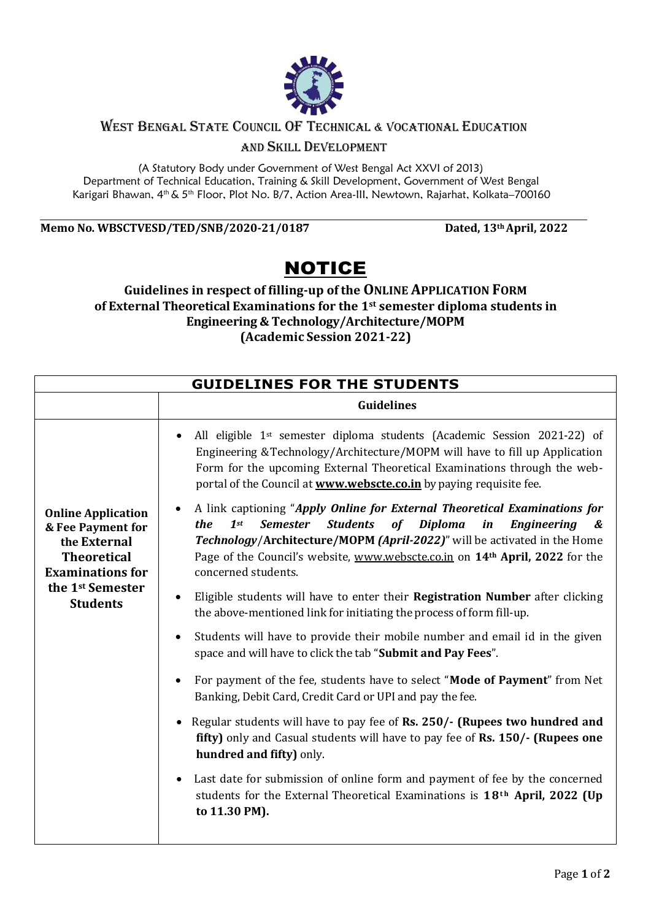

## WEST BENGAL STATE COUNCIL OF TECHNICAL & VOCATIONAL EDUCATION

AND SKILL DEVELOPMENT

(A Statutory Body under Government of West Bengal Act XXVI of 2013) Department of Technical Education, Training & Skill Development, Government of West Bengal Karigari Bhawan, 4<sup>th</sup> & 5<sup>th</sup> Floor, Plot No. B/7, Action Area-III, Newtown, Rajarhat, Kolkata–700160

**Memo No. WBSCTVESD/TED/SNB/2020-21/0187 Dated, 13thApril, 2022**

## NOTICE

## **Guidelines in respect of filling-up of the ONLINE APPLICATION FORM of External Theoretical Examinations for the 1st semester diploma students in Engineering & Technology/Architecture/MOPM (Academic Session 2021-22)**

| <b>GUIDELINES FOR THE STUDENTS</b>                                                                                                                                 |                                                                                                                                                                                                                                                                                                                                                                                             |
|--------------------------------------------------------------------------------------------------------------------------------------------------------------------|---------------------------------------------------------------------------------------------------------------------------------------------------------------------------------------------------------------------------------------------------------------------------------------------------------------------------------------------------------------------------------------------|
|                                                                                                                                                                    | <b>Guidelines</b>                                                                                                                                                                                                                                                                                                                                                                           |
| <b>Online Application</b><br>& Fee Payment for<br>the External<br><b>Theoretical</b><br><b>Examinations for</b><br>the 1 <sup>st</sup> Semester<br><b>Students</b> | All eligible 1 <sup>st</sup> semester diploma students (Academic Session 2021-22) of<br>$\bullet$<br>Engineering & Technology/Architecture/MOPM will have to fill up Application<br>Form for the upcoming External Theoretical Examinations through the web-<br>portal of the Council at <b>www.webscte.co.in</b> by paying requisite fee.                                                  |
|                                                                                                                                                                    | A link captioning "Apply Online for External Theoretical Examinations for<br>$\bullet$<br><b>Students</b><br>$1$ st<br><b>Semester</b><br>of Diploma<br>in<br><b>Engineering</b><br>the<br>&<br>Technology/Architecture/MOPM (April-2022)" will be activated in the Home<br>Page of the Council's website, www.webscte.co.in on 14 <sup>th</sup> April, 2022 for the<br>concerned students. |
|                                                                                                                                                                    | Eligible students will have to enter their Registration Number after clicking<br>$\bullet$<br>the above-mentioned link for initiating the process of form fill-up.                                                                                                                                                                                                                          |
|                                                                                                                                                                    | Students will have to provide their mobile number and email id in the given<br>$\bullet$<br>space and will have to click the tab "Submit and Pay Fees".                                                                                                                                                                                                                                     |
|                                                                                                                                                                    | For payment of the fee, students have to select "Mode of Payment" from Net<br>٠<br>Banking, Debit Card, Credit Card or UPI and pay the fee.                                                                                                                                                                                                                                                 |
|                                                                                                                                                                    | Regular students will have to pay fee of Rs. 250/- (Rupees two hundred and<br>$\bullet$<br>fifty) only and Casual students will have to pay fee of Rs. 150/- (Rupees one<br>hundred and fifty) only.                                                                                                                                                                                        |
|                                                                                                                                                                    | Last date for submission of online form and payment of fee by the concerned<br>$\bullet$<br>students for the External Theoretical Examinations is 18 <sup>th</sup> April, 2022 (Up<br>to 11.30 PM).                                                                                                                                                                                         |
|                                                                                                                                                                    |                                                                                                                                                                                                                                                                                                                                                                                             |